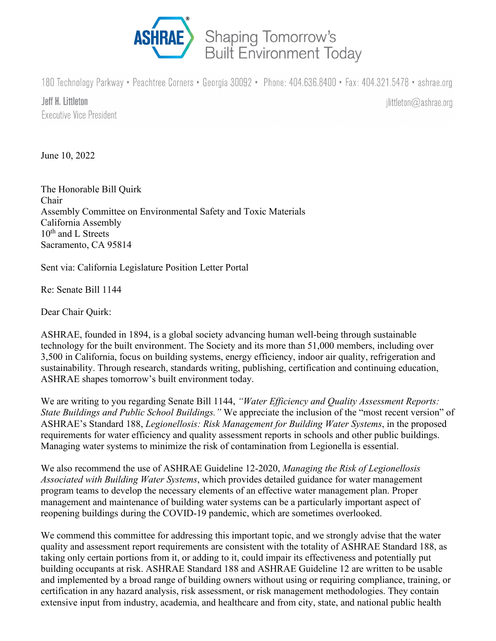

180 Technology Parkway • Peachtree Corners • Georgia 30092 • Phone: 404.636.8400 • Fax: 404.321.5478 • ashrae.org

Jeff H. Littleton Executive Vice President

 $\text{littleton} \textcircled{a}$ ashrae.org

June 10, 2022

The Honorable Bill Quirk Chair Assembly Committee on Environmental Safety and Toxic Materials California Assembly 10<sup>th</sup> and L Streets Sacramento, CA 95814

Sent via: California Legislature Position Letter Portal

Re: Senate Bill 1144

Dear Chair Quirk:

ASHRAE, founded in 1894, is a global society advancing human well-being through sustainable technology for the built environment. The Society and its more than 51,000 members, including over 3,500 in California, focus on building systems, energy efficiency, indoor air quality, refrigeration and sustainability. Through research, standards writing, publishing, certification and continuing education, ASHRAE shapes tomorrow's built environment today.

We are writing to you regarding Senate Bill 1144, *"Water Efficiency and Quality Assessment Reports: State Buildings and Public School Buildings."* We appreciate the inclusion of the "most recent version" of ASHRAE's Standard 188, *Legionellosis: Risk Management for Building Water Systems*, in the proposed requirements for water efficiency and quality assessment reports in schools and other public buildings. Managing water systems to minimize the risk of contamination from Legionella is essential.

We also recommend the use of ASHRAE Guideline 12-2020, *Managing the Risk of Legionellosis Associated with Building Water Systems*, which provides detailed guidance for water management program teams to develop the necessary elements of an effective water management plan. Proper management and maintenance of building water systems can be a particularly important aspect of reopening buildings during the COVID-19 pandemic, which are sometimes overlooked.

We commend this committee for addressing this important topic, and we strongly advise that the water quality and assessment report requirements are consistent with the totality of ASHRAE Standard 188, as taking only certain portions from it, or adding to it, could impair its effectiveness and potentially put building occupants at risk. ASHRAE Standard 188 and ASHRAE Guideline 12 are written to be usable and implemented by a broad range of building owners without using or requiring compliance, training, or certification in any hazard analysis, risk assessment, or risk management methodologies. They contain extensive input from industry, academia, and healthcare and from city, state, and national public health